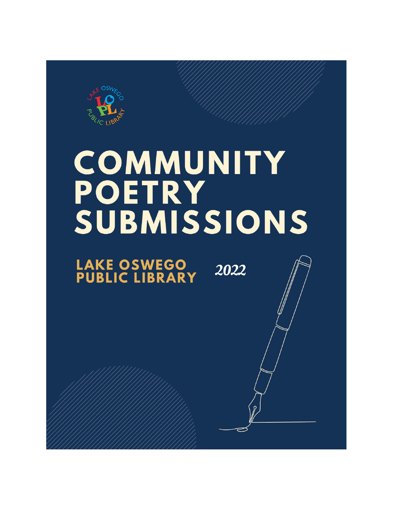

# **COMMUNITY** POETRY<br>SUBMISSIONS

**LAKE OSWEGO<br>PUBLIC LIBRARY** 2022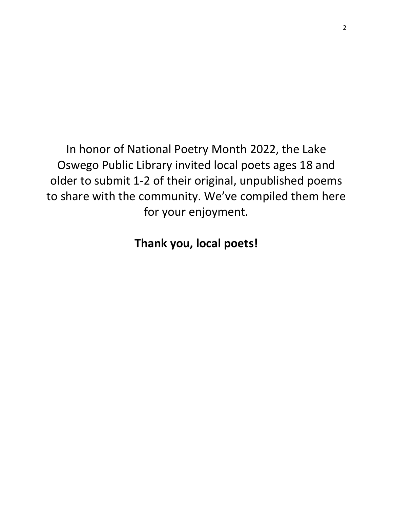In honor of National Poetry Month 2022, the Lake Oswego Public Library invited local poets ages 18 and older to submit 1-2 of their original, unpublished poems to share with the community. We've compiled them here for your enjoyment.

**Thank you, local poets!**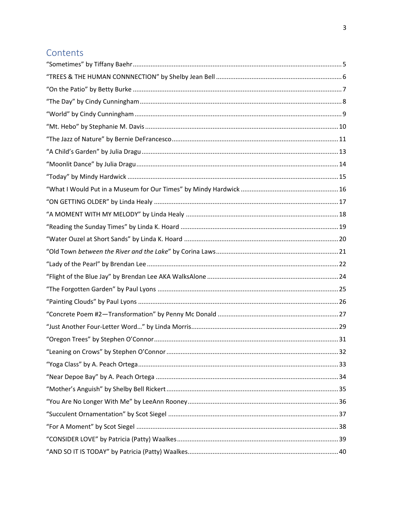#### Contents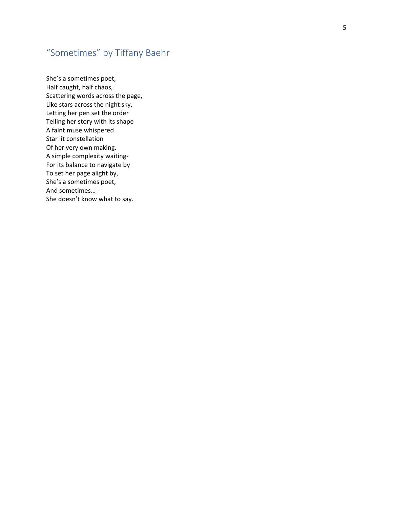## <span id="page-4-0"></span>"Sometimes" by Tiffany Baehr

She's a sometimes poet, Half caught, half chaos, Scattering words across the page, Like stars across the night sky, Letting her pen set the order Telling her story with its shape A faint muse whispered Star lit constellation Of her very own making. A simple complexity waiting - For its balance to navigate by To set her page alight by, She's a sometimes poet, And sometimes… She doesn't know what to say.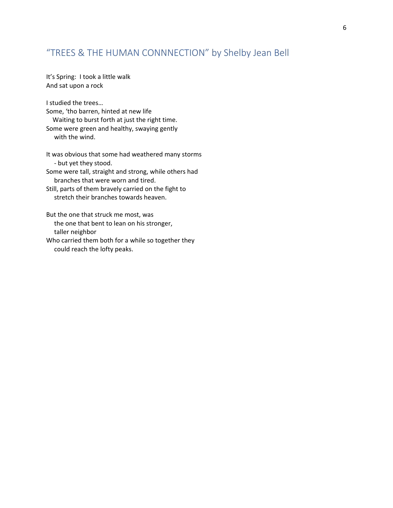#### <span id="page-5-0"></span>"TREES & THE HUMAN CONNNECTION" by Shelby Jean Bell

It's Spring: I took a little walk And sat upon a rock

I studied the trees… Some, 'tho barren, hinted at new life Waiting to burst forth at just the right time. Some were green and healthy, swaying gently with the wind.

It was obvious that some had weathered many storms - but yet they stood. Some were tall, straight and strong, while others had

branches that were worn and tired.

Still, parts of them bravely carried on the fight to stretch their branches towards heaven.

But the one that struck me most, was the one that bent to lean on his stronger, taller neighbor

Who carried them both for a while so together they could reach the lofty peaks.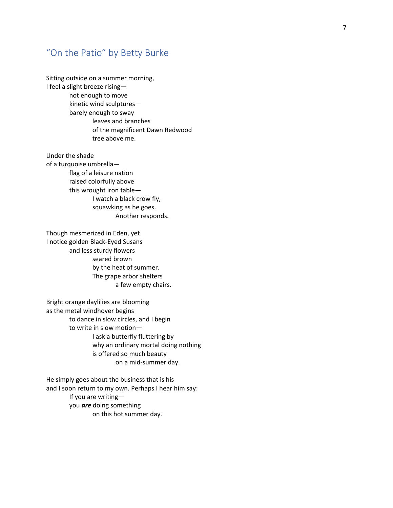#### <span id="page-6-0"></span>"On the Patio" by Betty Burke

Sitting outside on a summer morning, I feel a slight breeze rising not enough to move kinetic wind sculptures barely enough to sway leaves and branches of the magnificent Dawn Redwood tree above me.

Under the shade of a turquoise umbrella flag of a leisure nation raised colorfully above this wrought iron table — I watch a black crow fly, squawking as he goes. Another responds.

Though mesmerized in Eden, yet I notice golden Black -Eyed Susans and less sturdy flowers seared brown by the heat of summer. The grape arbor shelters a few empty chairs.

Bright orange daylilies are blooming as the metal windhover begins to dance in slow circles, and I begin to write in slow motion — I ask a butterfly fluttering by why an ordinary mortal doing nothing is offered so much beauty on a mid -summer day.

He simply goes about the business that is his and I soon return to my own. Perhaps I hear him say: If you are writing you *are* doing something on this hot summer day.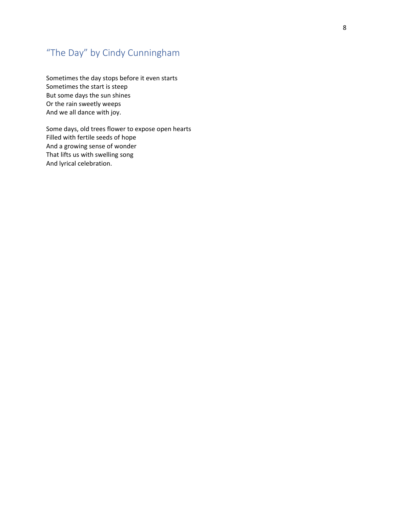## <span id="page-7-0"></span>"The Day" by Cindy Cunningham

Sometimes the day stops before it even starts Sometimes the start is steep But some days the sun shines Or the rain sweetly weeps And we all dance with joy.

Some days, old trees flower to expose open hearts Filled with fertile seeds of hope And a growing sense of wonder That lifts us with swelling song And lyrical celebration.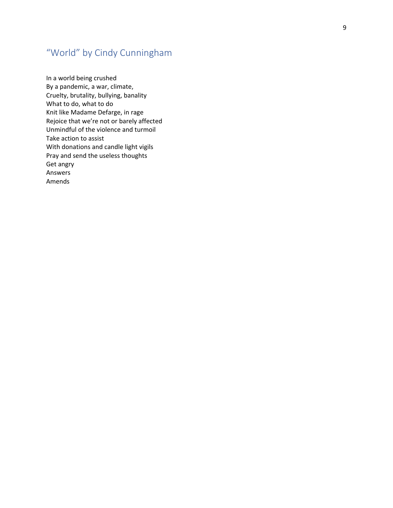## <span id="page-8-0"></span>"World" by Cindy Cunningham

In a world being crushed By a pandemic, a war, climate, Cruelty, brutality, bullying, banality What to do, what to do Knit like Madame Defarge, in rage Rejoice that we're not or barely affected Unmindful of the violence and turmoil Take action to assist With donations and candle light vigils Pray and send the useless thoughts Get angry Answers Amends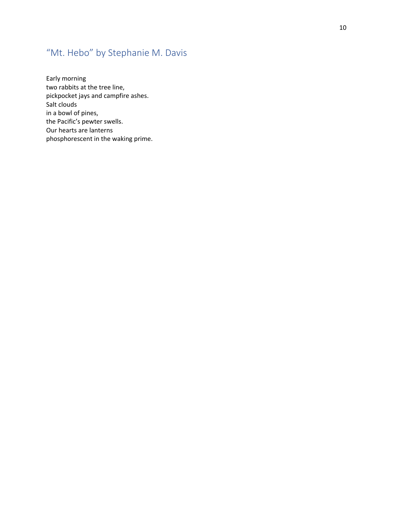## <span id="page-9-0"></span>"Mt. Hebo" by Stephanie M. Davis

Early morning two rabbits at the tree line, pickpocket jays and campfire ashes. Salt clouds in a bowl of pines, the Pacific's pewter swells. Our hearts are lanterns phosphorescent in the waking prime.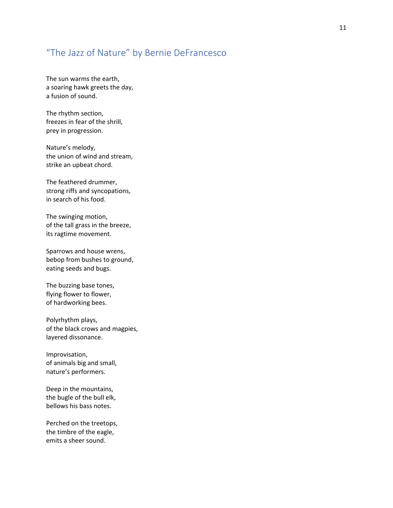#### <span id="page-10-0"></span>"The Jazz of Nature" by Bernie DeFrancesco

The sun warms the earth, a soaring hawk greets the day, a fusion of sound.

The rhythm section, freezes in fear of the shrill, prey in progression.

Nature's melody, the union of wind and stream, strike an upbeat chord.

The feathered drummer, strong riffs and syncopations, in search of his food.

The swinging motion, of the tall grass in the breeze, its ragtime movement.

Sparrows and house wrens, bebop from bushes to ground, eating seeds and bugs.

The buzzing base tones, flying flower to flower, of hardworking bees.

Polyrhythm plays, of the black crows and magpies, layered dissonance.

Improvisation, of animals big and small, nature's performers.

Deep in the mountains, the bugle of the bull elk, bellows his bass notes.

Perched on the treetops, the timbre of the eagle, emits a sheer sound.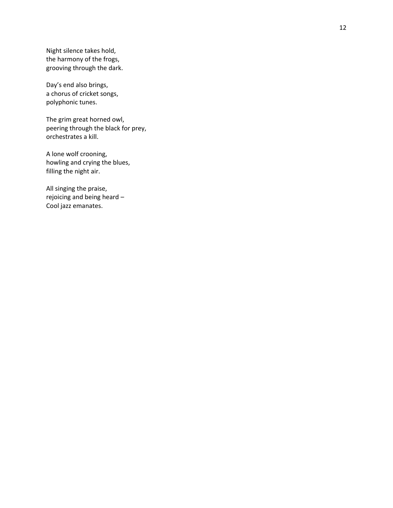Night silence takes hold, the harmony of the frogs, grooving through the dark.

Day's end also brings, a chorus of cricket songs, polyphonic tunes.

The grim great horned owl, peering through the black for prey, orchestrates a kill.

A lone wolf crooning, howling and crying the blues, filling the night air.

All singing the praise, rejoicing and being heard – Cool jazz emanates.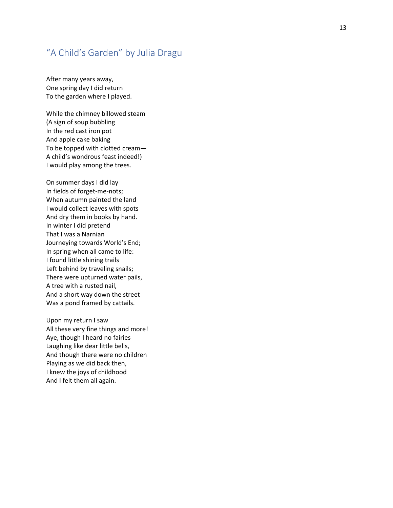#### <span id="page-12-0"></span>"A Child's Garden" by Julia Dragu

After many years away, One spring day I did return To the garden where I played.

While the chimney billowed steam (A sign of soup bubbling In the red cast iron pot And apple cake baking To be topped with clotted cream — A child's wondrous feast indeed!) I would play among the trees.

On summer days I did lay In fields of forget -me -nots; When autumn painted the land I would collect leaves with spots And dry them in books by hand. In winter I did pretend That I was a Narnian Journeying towards World's End; In spring when all came to life: I found little shining trails Left behind by traveling snails; There were upturned water pails, A tree with a rusted nail, And a short way down the street Was a pond framed by cattails.

Upon my return I saw All these very fine things and more! Aye, though I heard no fairies Laughing like dear little bells, And though there were no children Playing as we did back then, I knew the joys of childhood And I felt them all again.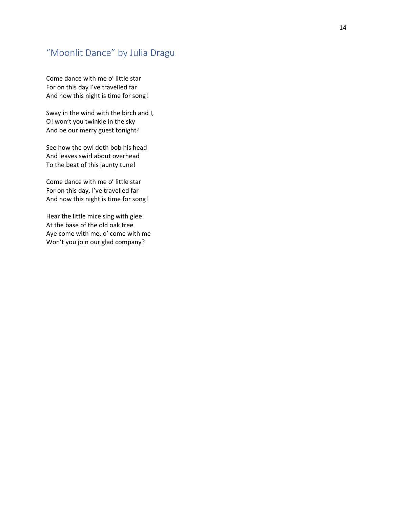#### <span id="page-13-0"></span>"Moonlit Dance" by Julia Dragu

Come dance with me o' little star For on this day I've travelled far And now this night is time for song!

Sway in the wind with the birch and I, O! won't you twinkle in the sky And be our merry guest tonight?

See how the owl doth bob his head And leaves swirl about overhead To the beat of this jaunty tune!

Come dance with me o' little star For on this day, I've travelled far And now this night is time for song!

Hear the little mice sing with glee At the base of the old oak tree Aye come with me, o' come with me Won't you join our glad company?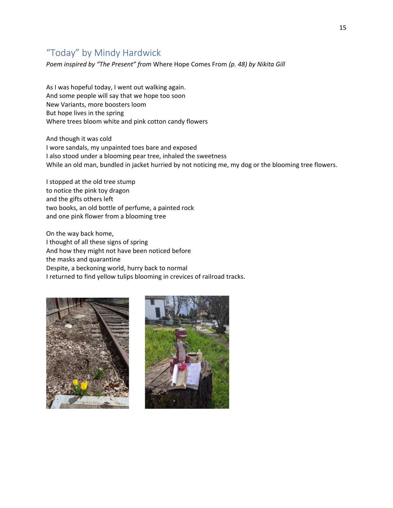#### <span id="page-14-0"></span>"Today" by Mindy Hardwick

*Poem inspired by "The Present" from* Where Hope Comes From *(p. 48) by Nikita Gill*

As I was hopeful today, I went out walking again. And some people will say that we hope too soon New Variants, more boosters loom But hope lives in the spring Where trees bloom white and pink cotton candy flowers

And though it was cold I wore sandals, my unpainted toes bare and exposed I also stood under a blooming pear tree, inhaled the sweetness While an old man, bundled in jacket hurried by not noticing me, my dog or the blooming tree flowers.

I stopped at the old tree stump to notice the pink toy dragon and the gifts others left two books, an old bottle of perfume, a painted rock and one pink flower from a blooming tree

On the way back home, I thought of all these signs of spring And how they might not have been noticed before the masks and quarantine Despite, a beckoning world, hurry back to normal I returned to find yellow tulips blooming in crevices of railroad tracks.



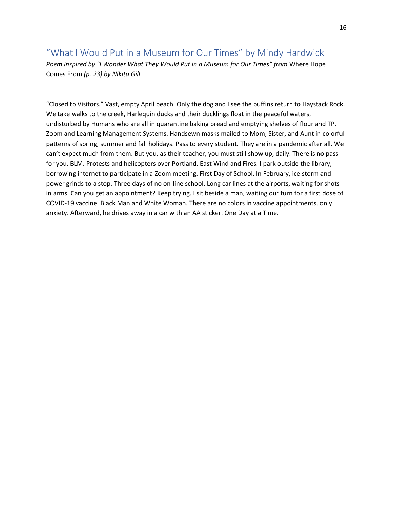## <span id="page-15-0"></span>"What I Would Put in a Museum for Our Times" by Mindy Hardwick

*Poem inspired by "I Wonder What They Would Put in a Museum for Our Times" from* Where Hope Comes From *(p. 23) by Nikita Gill*

"Closed to Visitors." Vast, empty April beach. Only the dog and I see the puffins return to Haystack Rock. We take walks to the creek, Harlequin ducks and their ducklings float in the peaceful waters, undisturbed by Humans who are all in quarantine baking bread and emptying shelves of flour and TP. Zoom and Learning Management Systems. Handsewn masks mailed to Mom, Sister, and Aunt in colorful patterns of spring, summer and fall holidays. Pass to every student. They are in a pandemic after all. We can't expect much from them. But you, as their teacher, you must still show up, daily. There is no pass for you. BLM. Protests and helicopters over Portland. East Wind and Fires. I park outside the library, borrowing internet to participate in a Zoom meeting. First Day of School. In February, ice storm and power grinds to a stop. Three days of no on-line school. Long car lines at the airports, waiting for shots in arms. Can you get an appointment? Keep trying. I sit beside a man, waiting our turn for a first dose of COVID-19 vaccine. Black Man and White Woman. There are no colors in vaccine appointments, only anxiety. Afterward, he drives away in a car with an AA sticker. One Day at a Time.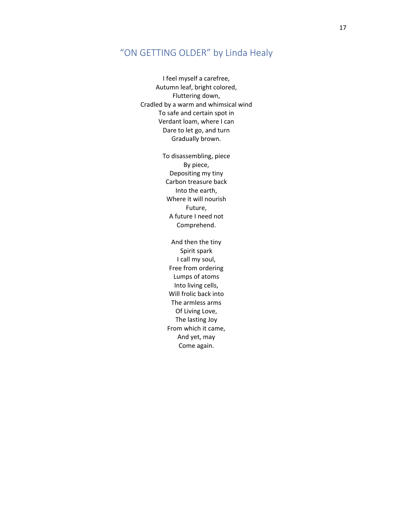#### <span id="page-16-0"></span>"ON GETTING OLDER" by Linda Healy

I feel myself a carefree, Autumn leaf, bright colored, Fluttering down, Cradled by a warm and whimsical wind To safe and certain spot in Verdant loam, where I can Dare to let go, and turn Gradually brown.

> To disassembling, piece By piece, Depositing my tiny Carbon treasure back Into the earth, Where it will nourish Future, A future I need not Comprehend.

And then the tiny Spirit spark I call my soul, Free from ordering Lumps of atoms Into living cells, Will frolic back into The armless arms Of Living Love, The lasting Joy From which it came, And yet, may Come again.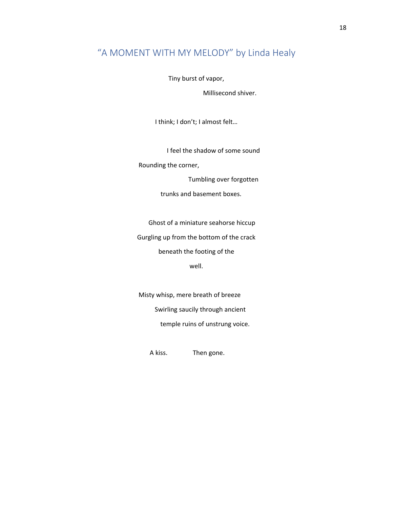## <span id="page-17-0"></span>"A MOMENT WITH MY MELODY" by Linda Healy

Tiny burst of vapor,

Millisecond shiver.

I think; I don't; I almost felt…

I feel the shadow of some sound

Rounding the corner,

Tumbling over forgotten

trunks and basement boxes.

Ghost of a miniature seahorse hiccup

Gurgling up from the bottom of the crack beneath the footing of the

well.

Misty whisp, mere breath of breeze Swirling saucily through ancient temple ruins of unstrung voice.

A kiss. Then gone.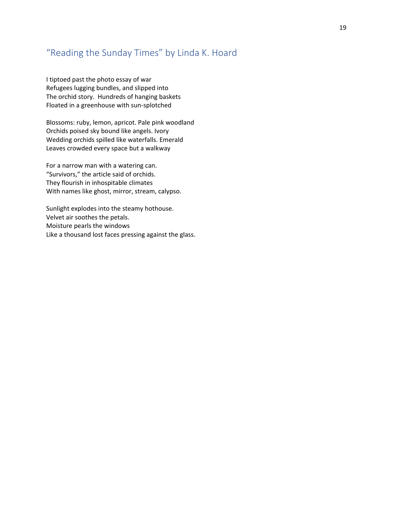#### <span id="page-18-0"></span>"Reading the Sunday Times" by Linda K. Hoard

I tiptoed past the photo essay of war Refugees lugging bundles, and slipped into The orchid story. Hundreds of hanging baskets Floated in a greenhouse with sun-splotched

Blossoms: ruby, lemon, apricot. Pale pink woodland Orchids poised sky bound like angels. Ivory Wedding orchids spilled like waterfalls. Emerald Leaves crowded every space but a walkway

For a narrow man with a watering can. "Survivors," the article said of orchids. They flourish in inhospitable climates With names like ghost, mirror, stream, calypso.

Sunlight explodes into the steamy hothouse. Velvet air soothes the petals. Moisture pearls the windows Like a thousand lost faces pressing against the glass.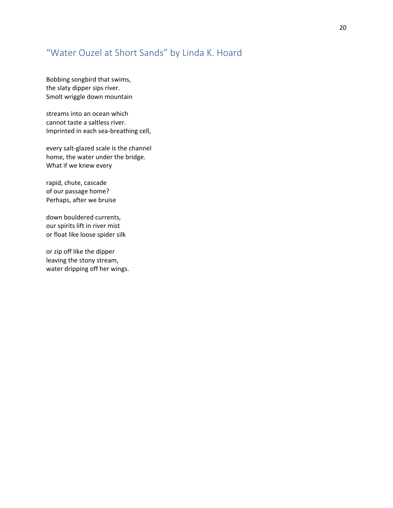#### <span id="page-19-0"></span>"Water Ouzel at Short Sands" by Linda K. Hoard

Bobbing songbird that swims, the slaty dipper sips river. Smolt wriggle down mountain

streams into an ocean which cannot taste a saltless river. Imprinted in each sea-breathing cell,

every salt-glazed scale is the channel home, the water under the bridge. What if we knew every

rapid, chute, cascade of our passage home? Perhaps, after we bruise

down bouldered currents, our spirits lift in river mist or float like loose spider silk

or zip off like the dipper leaving the stony stream, water dripping off her wings.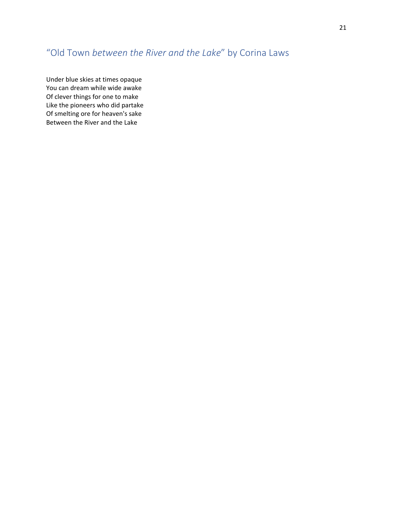## <span id="page-20-0"></span>"Old Town *between the River and the Lake*" by Corina Laws

Under blue skies at times opaque You can dream while wide awake Of clever things for one to make Like the pioneers who did partake Of smelting ore for heaven's sake Between the River and the Lake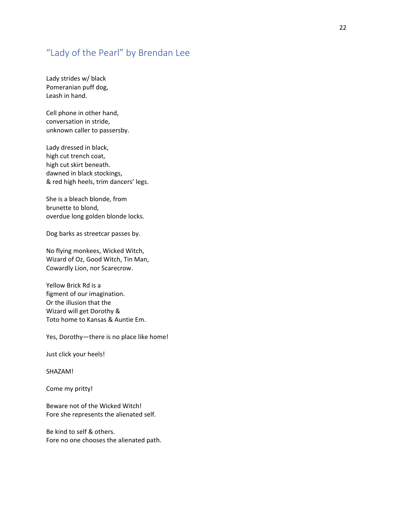#### <span id="page-21-0"></span>"Lady of the Pearl" by Brendan Lee

Lady strides w/ black Pomeranian puff dog, Leash in hand.

Cell phone in other hand, conversation in stride, unknown caller to passersby.

Lady dressed in black, high cut trench coat, high cut skirt beneath. dawned in black stockings, & red high heels, trim dancers' legs.

She is a bleach blonde, from brunette to blond, overdue long golden blonde locks.

Dog barks as streetcar passes by.

No flying monkees, Wicked Witch, Wizard of Oz, Good Witch, Tin Man, Cowardly Lion, nor Scarecrow.

Yellow Brick Rd is a figment of our imagination. Or the illusion that the Wizard will get Dorothy & Toto home to Kansas & Auntie Em.

Yes, Dorothy—there is no place like home!

Just click your heels!

SHAZAM!

Come my pritty!

Beware not of the Wicked Witch! Fore she represents the alienated self.

Be kind to self & others. Fore no one chooses the alienated path.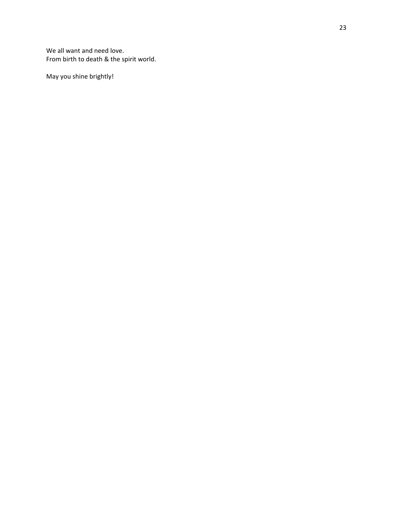We all want and need love. From birth to death & the spirit world.

May you shine brightly!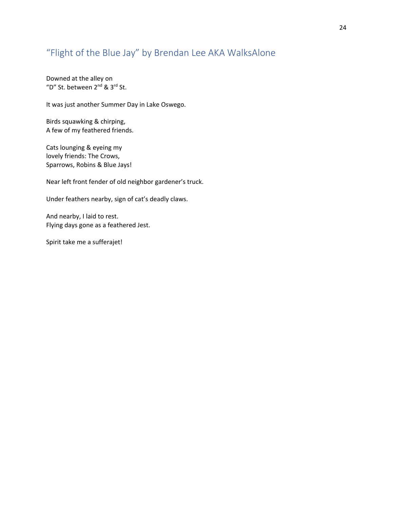#### <span id="page-23-0"></span>"Flight of the Blue Jay" by Brendan Lee AKA WalksAlone

Downed at the alley on "D" St. between 2nd & 3rd St.

It was just another Summer Day in Lake Oswego.

Birds squawking & chirping, A few of my feathered friends.

Cats lounging & eyeing my lovely friends: The Crows, Sparrows, Robins & Blue Jays!

Near left front fender of old neighbor gardener's truck.

Under feathers nearby, sign of cat's deadly claws.

And nearby, I laid to rest. Flying days gone as a feathered Jest.

Spirit take me a sufferajet!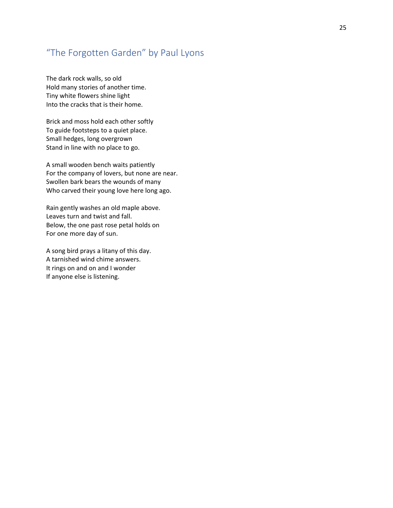#### <span id="page-24-0"></span>"The Forgotten Garden" by Paul Lyons

The dark rock walls, so old Hold many stories of another time. Tiny white flowers shine light Into the cracks that is their home.

Brick and moss hold each other softly To guide footsteps to a quiet place. Small hedges, long overgrown Stand in line with no place to go.

A small wooden bench waits patiently For the company of lovers, but none are near. Swollen bark bears the wounds of many Who carved their young love here long ago.

Rain gently washes an old maple above. Leaves turn and twist and fall. Below, the one past rose petal holds on For one more day of sun.

A song bird prays a litany of this day. A tarnished wind chime answers. It rings on and on and I wonder If anyone else is listening.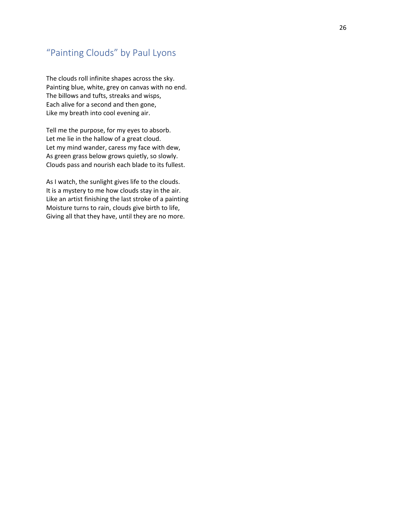#### <span id="page-25-0"></span>"Painting Clouds" by Paul Lyons

The clouds roll infinite shapes across the sky. Painting blue, white, grey on canvas with no end. The billows and tufts, streaks and wisps, Each alive for a second and then gone, Like my breath into cool evening air.

Tell me the purpose, for my eyes to absorb. Let me lie in the hallow of a great cloud. Let my mind wander, caress my face with dew, As green grass below grows quietly, so slowly. Clouds pass and nourish each blade to its fullest.

As I watch, the sunlight gives life to the clouds. It is a mystery to me how clouds stay in the air. Like an artist finishing the last stroke of a painting Moisture turns to rain, clouds give birth to life, Giving all that they have, until they are no more.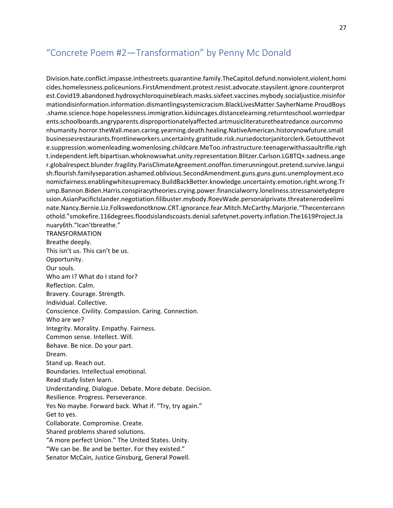#### <span id="page-26-0"></span>"Concrete Poem #2—Transformation" by Penny Mc Donald

Division.hate.conflict.impasse.inthestreets.quarantine.family.TheCapitol.defund.nonviolent.violent.homi cides.homelessness.policeunions.FirstAmendment.protest.resist.advocate.staysilent.ignore.counterprot est.Covid19.abandoned.hydroxychloroquinebleach.masks.sixfeet.vaccines.mybody.socialjustice.misinfor mationdisinformation.information.dismantlingsystemicracism.BlackLivesMatter.SayherName.ProudBoys .shame.science.hope.hopelessness.immigration.kidsincages.distancelearning.returntoschool.worriedpar ents.schoolboards.angryparents.disproportionatelyaffected.artmusicliteraturetheatredance.ourcommo nhumanity.horror.theWall.mean.caring.yearning.death.healing.NativeAmerican.historynowfuture.small businessesrestaurants.frontlineworkers.uncertainty.gratitude.risk.nursedoctorjanitorclerk.Getoutthevot e.suppression.womenleading.womenlosing.childcare.MeToo.infrastructure.teenagerwithassaultrifle.righ t.independent.left.bipartisan.whoknowswhat.unity.representation.Blitzer.Carlson.LGBTQ+.sadness.ange r.globalrespect.blunder.fragility.ParisClimateAgreement.onoffon.timerunningout.pretend.survive.langui sh.flourish.familyseparation.ashamed.oblivious.SecondAmendment.guns.guns.guns.unemployment.eco nomicfairness.enablingwhitesupremacy.BuildBackBetter.knowledge.uncertainty.emotion.right.wrong.Tr ump.Bannon.Biden.Harris.conspiracytheories.crying.power.financialworry.loneliness.stressanxietydepre ssion.AsianPacificIslander.negotiation.filibuster.mybody.RoevWade.personalprivate.threatenerodeelimi nate.Nancy.Bernie.Liz.Folkswedonotknow.CRT.ignorance.fear.Mitch.McCarthy.Marjorie."Thecentercann othold."smokefire.116degrees.floodsislandscoasts.denial.safetynet.poverty.inflation.The1619Project.Ja nuary6th."Ican'tbreathe." TRANSFORMATION Breathe deeply. This isn't us. This can't be us. Opportunity. Our souls. Who am I? What do I stand for? Reflection. Calm. Bravery. Courage. Strength. Individual. Collective. Conscience. Civility. Compassion. Caring. Connection. Who are we? Integrity. Morality. Empathy. Fairness. Common sense. Intellect. Will. Behave. Be nice. Do your part. Dream. Stand up. Reach out. Boundaries. Intellectual emotional. Read study listen learn. Understanding. Dialogue. Debate. More debate. Decision. Resilience. Progress. Perseverance. Yes No maybe. Forward back. What if. "Try, try again." Get to yes. Collaborate. Compromise. Create. Shared problems shared solutions. "A more perfect Union." The United States. Unity. "We can be. Be and be better. For they existed." Senator McCain, Justice Ginsburg, General Powell.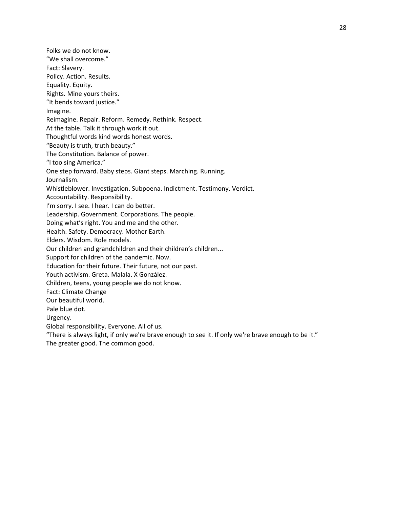Rights. Mine yours theirs. "It bends toward justice." Reimagine. Repair. Reform. Remedy. Rethink. Respect. At the table. Talk it through work it out. Thoughtful words kind words honest words. "Beauty is truth, truth beauty." The Constitution. Balance of power. One step forward. Baby steps. Giant steps. Marching. Running. Whistleblower. Investigation. Subpoena. Indictment. Testimony. Verdict. Accountability. Responsibility. I'm sorry. I see. I hear. I can do better. Leadership. Government. Corporations. The people.

Doing what's right. You and me and the other.

Health. Safety. Democracy. Mother Earth.

Elders. Wisdom. Role models.

Folks we do not know. "We shall overcome."

Policy. Action. Results. Equality. Equity.

"I too sing America."

Journalism.

Fact: Slavery.

Imagine.

Our children and grandchildren and their children's children...

Support for children of the pandemic. Now.

Education for their future. Their future, not our past.

Youth activism. Greta. Malala. X González.

Children, teens, young people we do not know.

Fact: Climate Change

Our beautiful world.

Pale blue dot.

Urgency.

Global responsibility. Everyone. All of us.

"There is always light, if only we're brave enough to see it. If only we're brave enough to be it." The greater good. The common good.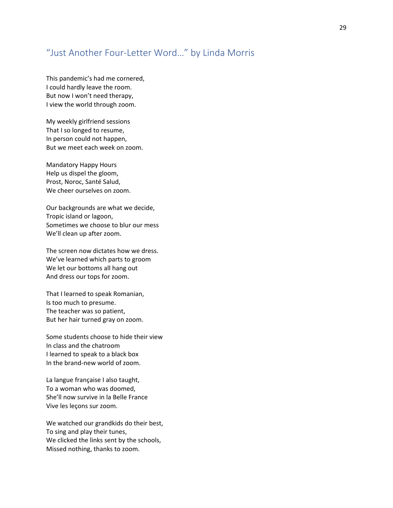#### <span id="page-28-0"></span>"Just Another Four-Letter Word…" by Linda Morris

This pandemic's had me cornered, I could hardly leave the room. But now I won't need therapy, I view the world through zoom.

My weekly girlfriend sessions That I so longed to resume, In person could not happen, But we meet each week on zoom.

Mandatory Happy Hours Help us dispel the gloom, Prost, Noroc, Santé Salud, We cheer ourselves on zoom.

Our backgrounds are what we decide, Tropic island or lagoon, Sometimes we choose to blur our mess We'll clean up after zoom.

The screen now dictates how we dress. We've learned which parts to groom We let our bottoms all hang out And dress our tops for zoom.

That I learned to speak Romanian, Is too much to presume. The teacher was so patient, But her hair turned gray on zoom.

Some students choose to hide their view In class and the chatroom I learned to speak to a black box In the brand-new world of zoom.

La langue française I also taught, To a woman who was doomed, She'll now survive in la Belle France Vive les leçons sur zoom.

We watched our grandkids do their best, To sing and play their tunes, We clicked the links sent by the schools, Missed nothing, thanks to zoom.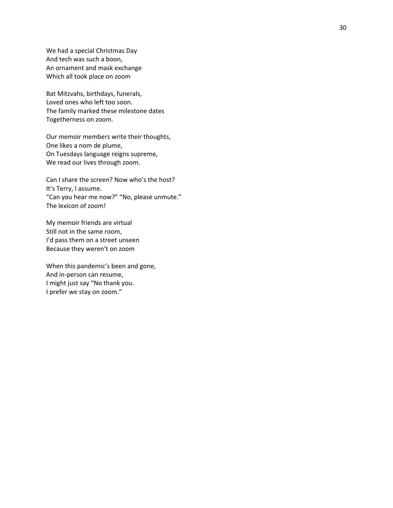We had a special Christmas Day And tech was such a boon, An ornament and mask exchange Which all took place on zoom

Bat Mitzvahs, birthdays, funerals, Loved ones who left too soon. The family marked these milestone dates Togetherness on zoom.

Our memoir members write their thoughts, One likes a nom de plume, On Tuesdays language reigns supreme, We read our lives through zoom.

Can I share the screen? Now who's the host? It's Terry, I assume. "Can you hear me now?" "No, please unmute." The lexicon of zoom!

My memoir friends are virtual Still not in the same room, I'd pass them on a street unseen Because they weren't on zoom

When this pandemic's been and gone, And in -person can resume, I might just say "No thank you. I prefer we stay on zoom."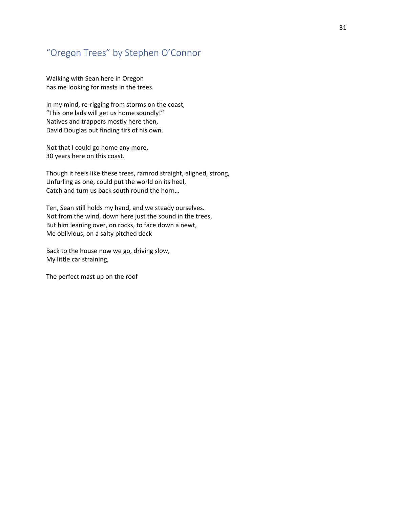#### <span id="page-30-0"></span>"Oregon Trees" by Stephen O'Connor

Walking with Sean here in Oregon has me looking for masts in the trees.

In my mind, re-rigging from storms on the coast, "This one lads will get us home soundly!" Natives and trappers mostly here then, David Douglas out finding firs of his own.

Not that I could go home any more, 30 years here on this coast.

Though it feels like these trees, ramrod straight, aligned, strong, Unfurling as one, could put the world on its heel, Catch and turn us back south round the horn…

Ten, Sean still holds my hand, and we steady ourselves. Not from the wind, down here just the sound in the trees, But him leaning over, on rocks, to face down a newt, Me oblivious, on a salty pitched deck

Back to the house now we go, driving slow, My little car straining,

The perfect mast up on the roof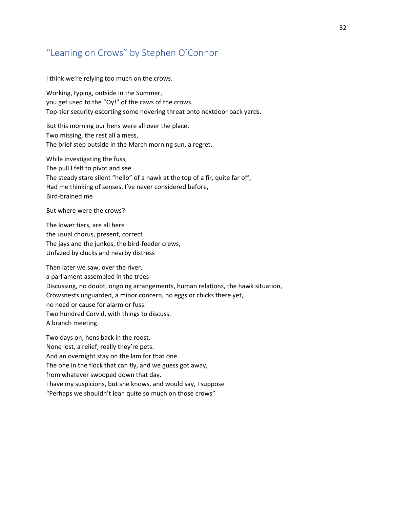#### <span id="page-31-0"></span>"Leaning on Crows" by Stephen O'Connor

I think we're relying too much on the crows.

Working, typing, outside in the Summer, you get used to the "Oy!" of the caws of the crows. Top-tier security escorting some hovering threat onto nextdoor back yards.

But this morning our hens were all over the place, Two missing, the rest all a mess, The brief step outside in the March morning sun, a regret.

While investigating the fuss, The pull I felt to pivot and see The steady stare silent "hello" of a hawk at the top of a fir, quite far off, Had me thinking of senses, I've never considered before, Bird-brained me

But where were the crows?

The lower tiers, are all here the usual chorus, present, correct The jays and the junkos, the bird-feeder crews, Unfazed by clucks and nearby distress

Then later we saw, over the river, a parliament assembled in the trees Discussing, no doubt, ongoing arrangements, human relations, the hawk situation, Crowsnests unguarded, a minor concern, no eggs or chicks there yet, no need or cause for alarm or fuss. Two hundred Corvid, with things to discuss. A branch meeting.

Two days on, hens back in the roost.

None lost, a relief; really they're pets.

And an overnight stay on the lam for that one.

The one in the flock that can fly, and we guess got away,

from whatever swooped down that day.

I have my suspicions, but she knows, and would say, I suppose

"Perhaps we shouldn't lean quite so much on those crows"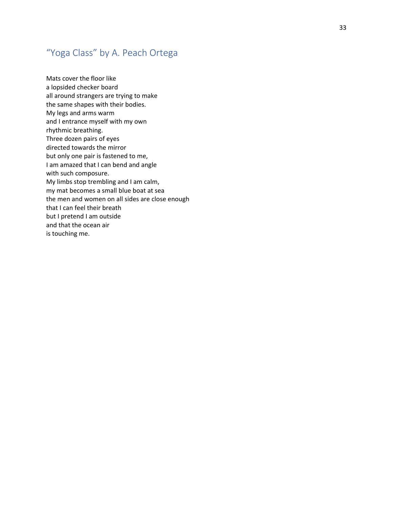## <span id="page-32-0"></span>"Yoga Class" by A. Peach Ortega

Mats cover the floor like a lopsided checker board all around strangers are trying to make the same shapes with their bodies. My legs and arms warm and I entrance myself with my own rhythmic breathing. Three dozen pairs of eyes directed towards the mirror but only one pair is fastened to me, I am amazed that I can bend and angle with such composure. My limbs stop trembling and I am calm, my mat becomes a small blue boat at sea the men and women on all sides are close enough that I can feel their breath but I pretend I am outside and that the ocean air is touching me.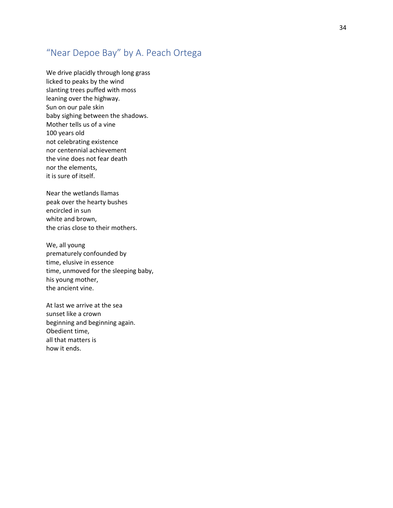#### <span id="page-33-0"></span>"Near Depoe Bay" by A. Peach Ortega

We drive placidly through long grass licked to peaks by the wind slanting tre es puffed with moss leaning over the highway. Sun on our pale skin baby sighing between the shadows. Mother tells us of a vine 100 years old not celebrating existence nor centennial achievement the vine does not fear death nor the elements, it is sure of itself.

Near the wetlands llamas peak over the hearty bushes encircled in sun white and brown, the crias close to their mothers.

We, all young prematurely confounded by time, elusive in essence time, unmoved for the sleeping baby, his young mother, the ancient vine.

At last we arrive at the sea sunset like a crown beginning and beginning again. Obedient time, all that matters is how it ends.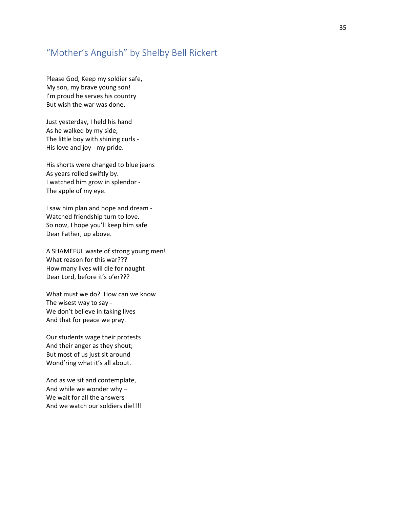#### <span id="page-34-0"></span>"Mother's Anguish" by Shelby Bell Rickert

Please God, Keep my soldier safe, My son, my brave young son! I'm proud he serves his country But wish the war was done.

Just yesterday, I held his hand As he walked by my side; The little boy with shining curls - His love and joy - my pride.

His shorts were changed to blue jeans As years rolled swiftly by. I watched him grow in splendor - The apple of my eye.

I saw him plan and hope and dream - Watched friendship turn to love. So now, I hope you'll keep him safe Dear Father, up above.

A SHAMEFUL waste of strong young men! What reason for this war??? How many lives will die for naught Dear Lord, before it's o'er???

What must we do? How can we know The wisest way to say - We don't believe in taking lives And that for peace we pray.

Our students wage their protests And their anger as they shout; But most of us just sit around Wond'ring what it's all about.

And as we sit and contemplate, And while we wonder why – We wait for all the answers And we watch our soldiers die!!!!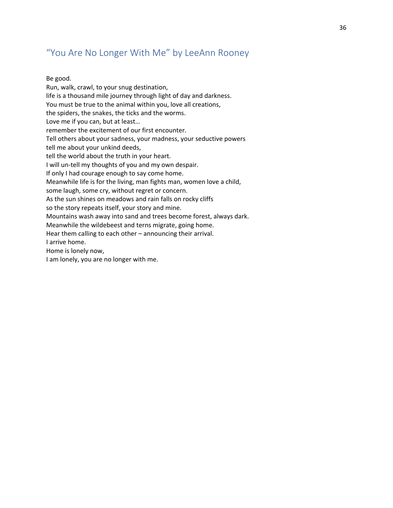#### <span id="page-35-0"></span>"You Are No Longer With Me" by LeeAnn Rooney

#### Be good.

Run, walk, crawl, to your snug destination, life is a thousand mile journey through light of day and darkness. You must be true to the animal within you, love all creations, the spiders, the snakes, the ticks and the worms. Love me if you can, but at least… remember the excitement of our first encounter. Tell others about your sadness, your madness, your seductive powers tell me about your unkind deeds, tell the world about the truth in your heart. I will un-tell my thoughts of you and my own despair. If only I had courage enough to say come home. Meanwhile life is for the living, man fights man, women love a child, some laugh, some cry, without regret or concern. As the sun shines on meadows and rain falls on rocky cliffs so the story repeats itself, your story and mine. Mountains wash away into sand and trees become forest, always dark. Meanwhile the wildebeest and terns migrate, going home. Hear them calling to each other – announcing their arrival. I arrive home. Home is lonely now, I am lonely, you are no longer with me.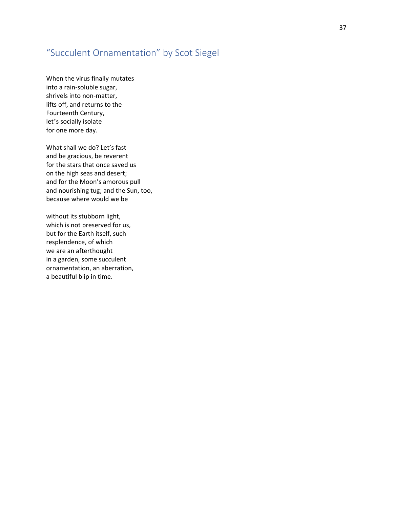#### <span id="page-36-0"></span>"Succulent Ornamentation" by Scot Siegel

When the virus finally mutates into a rain-soluble sugar, shrivels into non-matter, lifts off, and returns to the Fourteenth Century, let's socially isolate for one more day.

What shall we do? Let's fast and be gracious, be reverent for the stars that once saved us on the high seas and desert; and for the Moon's amorous pull and nourishing tug; and the Sun, too, because where would we be

without its stubborn light, which is not preserved for us, but for the Earth itself, such resplendence, of which we are an afterthought in a garden, some succulent ornamentation, an aberration, a beautiful blip in time.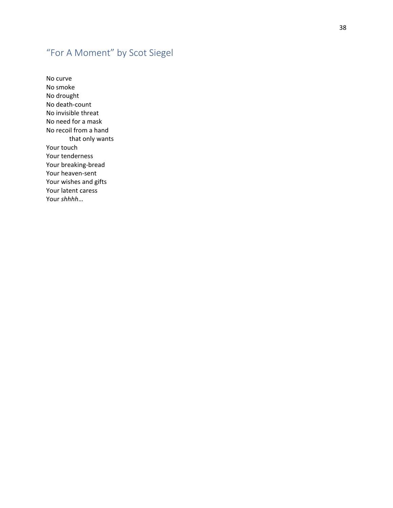## <span id="page-37-0"></span>"For A Moment" by Scot Siegel

No curve No smoke No drought No death -count No invisible threat No need for a mask No recoil from a hand that only wants Your touch Your tenderness Your breaking -bread Your heaven -sent Your wishes and gifts Your latent caress Your *shhhh* …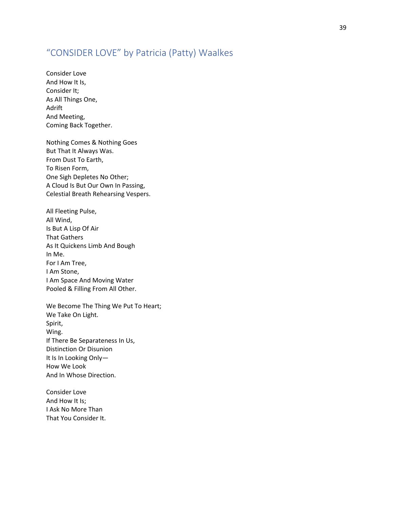#### <span id="page-38-0"></span>"CONSIDER LOVE" by Patricia (Patty) Waalkes

Consider Love And How It Is, Consider It; As All Things One, Adrift And Meeting, Coming Back Together.

Nothing Comes & Nothing Goes But That It Always Was. From Dust To Earth, To Risen Form, One Sigh Depletes No Other; A Cloud Is But Our Own In Passing, Celestial Breath Rehearsing Vespers.

All Fleeting Pulse, All Wind, Is But A Lisp Of Air That Gathers As It Quickens Limb And Bough In Me. For I Am Tree, I Am Stone, I Am Space And Moving Water Pooled & Filling From All Other.

We Become The Thing We Put To Heart; We Take On Light. Spirit, Wing. If There Be Separateness In Us, Distinction Or Disunion It Is In Looking Only— How We Look And In Whose Direction.

Consider Love And How It Is; I Ask No More Than That You Consider It.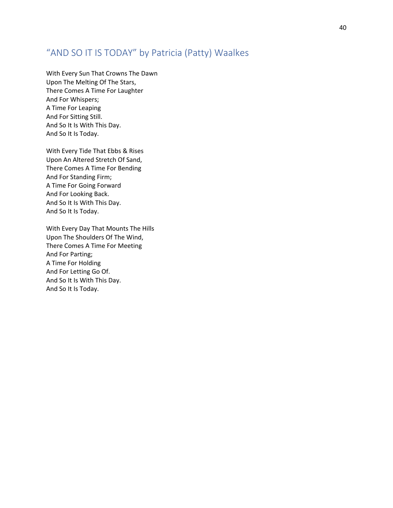#### <span id="page-39-0"></span>"AND SO IT IS TODAY" by Patricia (Patty) Waalkes

With Every Sun That Crowns The Dawn Upon The Melting Of The Stars, There Comes A Time For Laughter And For Whispers; A Time For Leaping And For Sitting Still. And So It Is With This Day. And So It Is Today.

With Every Tide That Ebbs & Rises Upon An Altered Stretch Of Sand, There Comes A Time For Bending And For Standing Firm; A Time For Going Forward And For Looking Back. And So It Is With This Day. And So It Is Today.

With Every Day That Mounts The Hills Upon The Shoulders Of The Wind, There Comes A Time For Meeting And For Parting; A Time For Holding And For Letting Go Of. And So It Is With This Day. And So It Is Today.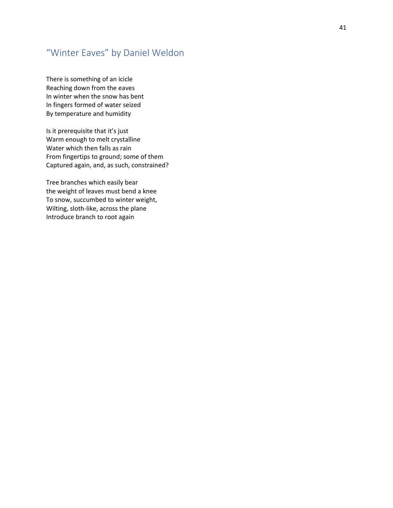#### <span id="page-40-0"></span>"Winter Eaves" by Daniel Weldon

There is something of an icicle Reaching down from the eaves In winter when the snow has bent In fingers formed of water seized By temperature and humidity

Is it prerequisite that it's just Warm enough to melt crystalline Water which then falls as rain From fingertips to ground; some of them Captured again, and, as such, constrained?

Tree branches which easily bear the weight of leaves must bend a knee To snow, succumbed to winter weight, Wilting, sloth -like, across the plane Introduce branch to root again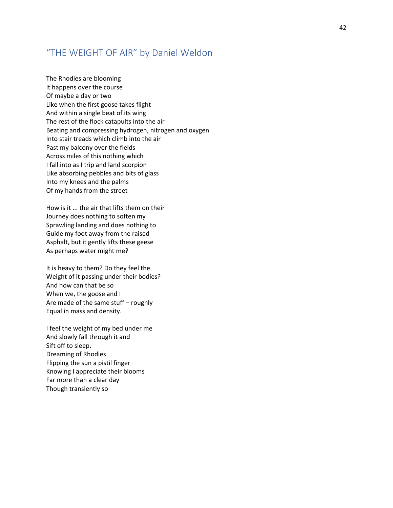#### <span id="page-41-0"></span>"THE WEIGHT OF AIR" by Daniel Weldon

The Rhodies are blooming It happens over the course Of maybe a day or two Like when the first goose takes flight And within a single beat of its wing The rest of the flock catapults into the air Beating and compressing hydrogen, nitrogen and oxygen Into stair treads which climb into the air Past my balcony over the fields Across miles of this nothing which I fall into as I trip and land scorpion Like absorbing pebbles and bits of glass Into my knees and the palms Of my hands from the street

How is it ... the air that lifts them on their Journey does nothing to soften my Sprawling landing and does nothing to Guide my foot away from the raised Asphalt, but it gently lifts these geese As perhaps water might me?

It is heavy to them? Do they feel the Weight of it passing under their bodies? And how can that be so When we, the goose and I Are made of the same stuff – roughly Equal in mass and density.

I feel the weight of my bed under me And slowly fall through it and Sift off to sleep. Dreaming of Rhodies Flipping the sun a pistil finger Knowing I appreciate their blooms Far more than a clear day Though transiently so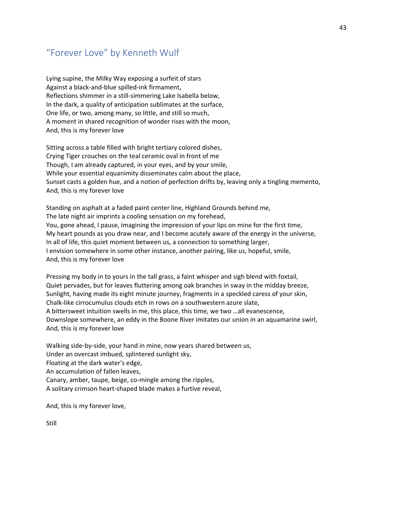#### <span id="page-42-0"></span>"Forever Love" by Kenneth Wulf

Lying supine, the Milky Way exposing a surfeit of stars Against a black-and-blue spilled-ink firmament, Reflections shimmer in a still-simmering Lake Isabella below, In the dark, a quality of anticipation sublimates at the surface, One life, or two, among many, so little, and still so much, A moment in shared recognition of wonder rises with the moon, And, this is my forever love

Sitting across a table filled with bright tertiary colored dishes, Crying Tiger crouches on the teal ceramic oval in front of me Though, I am already captured, in your eyes, and by your smile, While your essential equanimity disseminates calm about the place, Sunset casts a golden hue, and a notion of perfection drifts by, leaving only a tingling memento, And, this is my forever love

Standing on asphalt at a faded paint center line, Highland Grounds behind me, The late night air imprints a cooling sensation on my forehead, You, gone ahead, I pause, imagining the impression of your lips on mine for the first time, My heart pounds as you draw near, and I become acutely aware of the energy in the universe, In all of life, this quiet moment between us, a connection to something larger, I envision somewhere in some other instance, another pairing, like us, hopeful, smile, And, this is my forever love

Pressing my body in to yours in the tall grass, a faint whisper and sigh blend with foxtail, Quiet pervades, but for leaves fluttering among oak branches in sway in the midday breeze, Sunlight, having made its eight minute journey, fragments in a speckled caress of your skin, Chalk-like cirrocumulus clouds etch in rows on a southwestern azure slate, A bittersweet intuition swells in me, this place, this time, we two …all evanescence, Downslope somewhere, an eddy in the Boone River imitates our union in an aquamarine swirl, And, this is my forever love

Walking side-by-side, your hand in mine, now years shared between us, Under an overcast imbued, splintered sunlight sky, Floating at the dark water's edge, An accumulation of fallen leaves, Canary, amber, taupe, beige, co-mingle among the ripples, A solitary crimson heart-shaped blade makes a furtive reveal,

And, this is my forever love,

Still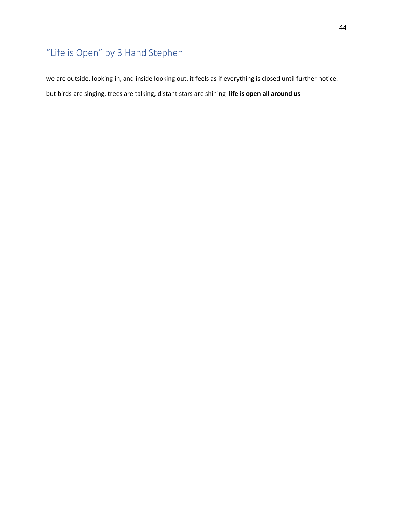## <span id="page-43-0"></span>"Life is Open" by 3 Hand Stephen

we are outside, looking in, and inside looking out. it feels as if everything is closed until further notice. but birds are singing, trees are talking, distant stars are shining **life is open all around us**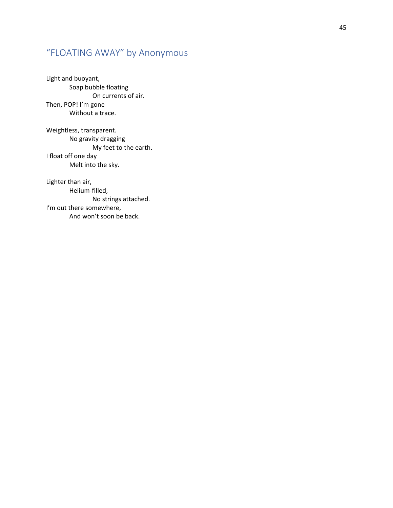## <span id="page-44-0"></span>"FLOATING AWAY" by Anonymous

Light and buoyant, Soap bubble floating On currents of air. Then, POP! I'm gone Without a trace.

Weightless, transparent. No gravity dragging My feet to the earth. I float off one day Melt into the sky.

Lighter than air, Helium -filled, No strings attached. I'm out there somewhere, And won't soon be back.